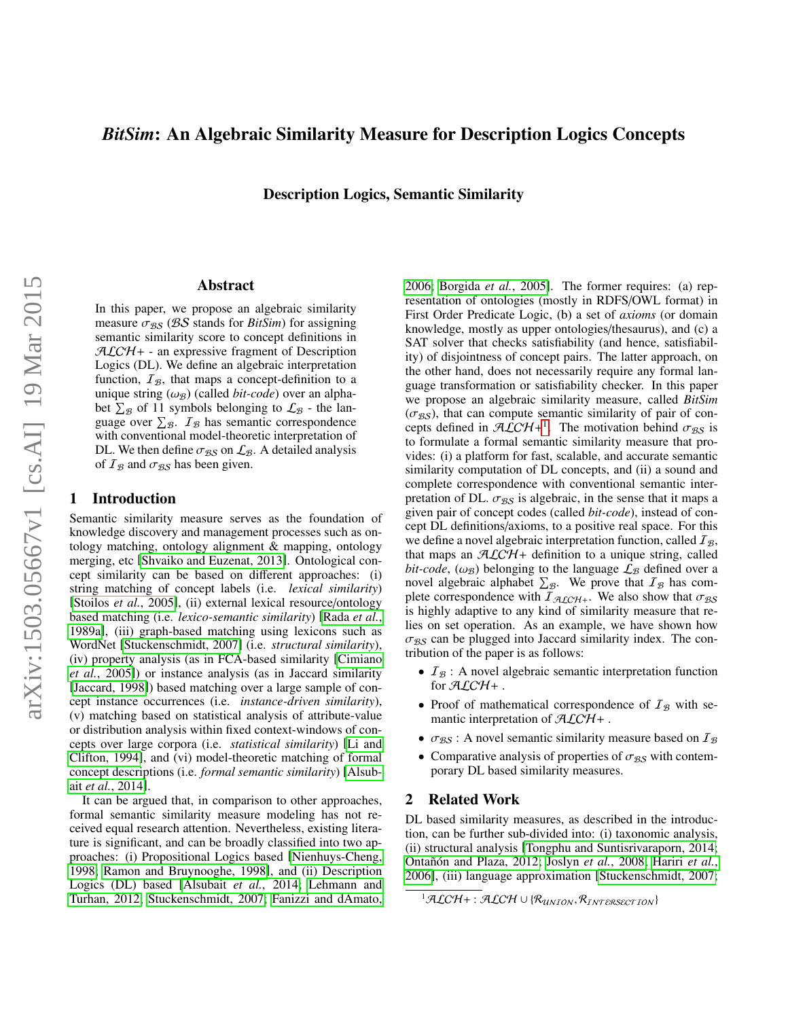# *BitSim*: An Algebraic Similarity Measure for Description Logics Concepts

Description Logics, Semantic Similarity

### Abstract

In this paper, we propose an algebraic similarity measure  $\sigma_{BS}$  (BS stands for *BitSim*) for assigning semantic similarity score to concept definitions in  $ALCH + -$  an expressive fragment of Description Logics (DL). We define an algebraic interpretation function,  $I_{\mathcal{B}}$ , that maps a concept-definition to a unique string  $(\omega_B)$  (called *bit-code*) over an alphabet  $\Sigma_{\mathcal{B}}$  of 11 symbols belonging to  $\mathcal{L}_{\mathcal{B}}$  - the language over  $\Sigma_{\mathcal{B}}$ .  $I_{\mathcal{B}}$  has semantic correspondence with conventional model-theoretic interpretation of DL. We then define  $\sigma_{BS}$  on  $\mathcal{L}_B$ . A detailed analysis of  $I_{\mathcal{B}}$  and  $\sigma_{\mathcal{B}}$  has been given.

## 1 Introduction

Semantic similarity measure serves as the foundation of knowledge discovery and management processes such as ontology matching, ontology alignment & mapping, ontology merging, etc [\[Shvaiko and Euzenat, 2013\]](#page-6-0). Ontological concept similarity can be based on different approaches: (i) string matching of concept labels (i.e. *lexical similarity*) [\[Stoilos](#page-6-1) *et al.*, 2005], (ii) external lexical resource/ontology based matching (i.e. *lexico-semantic similarity*) [\[Rada](#page-6-2) *et al.*, [1989a\]](#page-6-2), (iii) graph-based matching using lexicons such as WordNet [\[Stuckenschmidt, 2007\]](#page-6-3) (i.e. *structural similarity*), (iv) property analysis (as in FCA-based similarity [\[Cimiano](#page-5-0) *et al.*[, 2005\]](#page-5-0)) or instance analysis (as in Jaccard similarity [\[Jaccard, 1998\]](#page-5-1)) based matching over a large sample of concept instance occurrences (i.e. *instance-driven similarity*), (v) matching based on statistical analysis of attribute-value or distribution analysis within fixed context-windows of concepts over large corpora (i.e. *statistical similarity*) [\[Li and](#page-6-4) [Clifton, 1994\]](#page-6-4), and (vi) model-theoretic matching of formal concept descriptions (i.e. *formal semantic similarity*) [\[Alsub](#page-5-2)ait *et al.*[, 2014\]](#page-5-2).

It can be argued that, in comparison to other approaches, formal semantic similarity measure modeling has not received equal research attention. Nevertheless, existing literature is significant, and can be broadly classified into two approaches: (i) Propositional Logics based [\[Nienhuys-Cheng,](#page-6-5) [1998;](#page-6-5) [Ramon and Bruynooghe, 1998\]](#page-6-6), and (ii) Description Logics (DL) based [\[Alsubait](#page-5-2) *et al.*, 2014; [Lehmann and](#page-6-7) [Turhan, 2012;](#page-6-7) [Stuckenschmidt, 2007;](#page-6-3) [Fanizzi and dAmato,](#page-5-3) [2006;](#page-5-3) [Borgida](#page-5-4) *et al.*, 2005]. The former requires: (a) representation of ontologies (mostly in RDFS/OWL format) in First Order Predicate Logic, (b) a set of *axioms* (or domain knowledge, mostly as upper ontologies/thesaurus), and (c) a SAT solver that checks satisfiability (and hence, satisfiability) of disjointness of concept pairs. The latter approach, on the other hand, does not necessarily require any formal language transformation or satisfiability checker. In this paper we propose an algebraic similarity measure, called *BitSim*  $(\sigma_{BS})$ , that can compute semantic similarity of pair of concepts defined in  $\mathcal{A}\mathcal{L}\mathcal{C}\mathcal{H}^{+1}$  $\mathcal{A}\mathcal{L}\mathcal{C}\mathcal{H}^{+1}$  $\mathcal{A}\mathcal{L}\mathcal{C}\mathcal{H}^{+1}$ . The motivation behind  $\sigma_{\mathcal{B}}$  is to formulate a formal semantic similarity measure that proto formulate a formal semantic similarity measure that provides: (i) a platform for fast, scalable, and accurate semantic similarity computation of DL concepts, and (ii) a sound and complete correspondence with conventional semantic interpretation of DL.  $\sigma_{BS}$  is algebraic, in the sense that it maps a given pair of concept codes (called *bit-code*), instead of concept DL definitions/axioms, to a positive real space. For this we define a novel algebraic interpretation function, called  $I_{\mathcal{B}}$ , that maps an  $ALCH+$  definition to a unique string, called *bit-code*,  $(\omega_B)$  belonging to the language  $\mathcal{L}_B$  defined over a novel algebraic alphabet  $\Sigma_B$ . We prove that  $\mathcal{I}_B$  has complete correspondence with  $I_{\mathcal{A}\mathcal{L}\mathcal{C}\mathcal{H}+}$ . We also show that  $\sigma_{\mathcal{B}\mathcal{S}}$ is highly adaptive to any kind of similarity measure that relies on set operation. As an example, we have shown how  $\sigma_{BS}$  can be plugged into Jaccard similarity index. The contribution of the paper is as follows:

- $I_B$ : A novel algebraic semantic interpretation function for  $\mathcal{ALCH}+$  .
- Proof of mathematical correspondence of  $I_B$  with semantic interpretation of  $ALCH +$ .
- $\sigma_{BS}$ : A novel semantic similarity measure based on  $I_B$
- Comparative analysis of properties of  $\sigma_{BS}$  with contemporary DL based similarity measures.

## 2 Related Work

DL based similarity measures, as described in the introduction, can be further sub-divided into: (i) taxonomic analysis, (ii) structural analysis [\[Tongphu and Suntisrivaraporn, 2014;](#page-6-8) Ontañón and Plaza, 2012; Joslyn et al.[, 2008;](#page-6-10) [Hariri](#page-5-5) et al., [2006\]](#page-5-5), (iii) language approximation [\[Stuckenschmidt, 2007;](#page-6-3)

<span id="page-0-0"></span> $1$ ALCH + : ALCH ∪ { $\mathcal{R}_{UNION}, \mathcal{R}_{INTERSECTION}$ }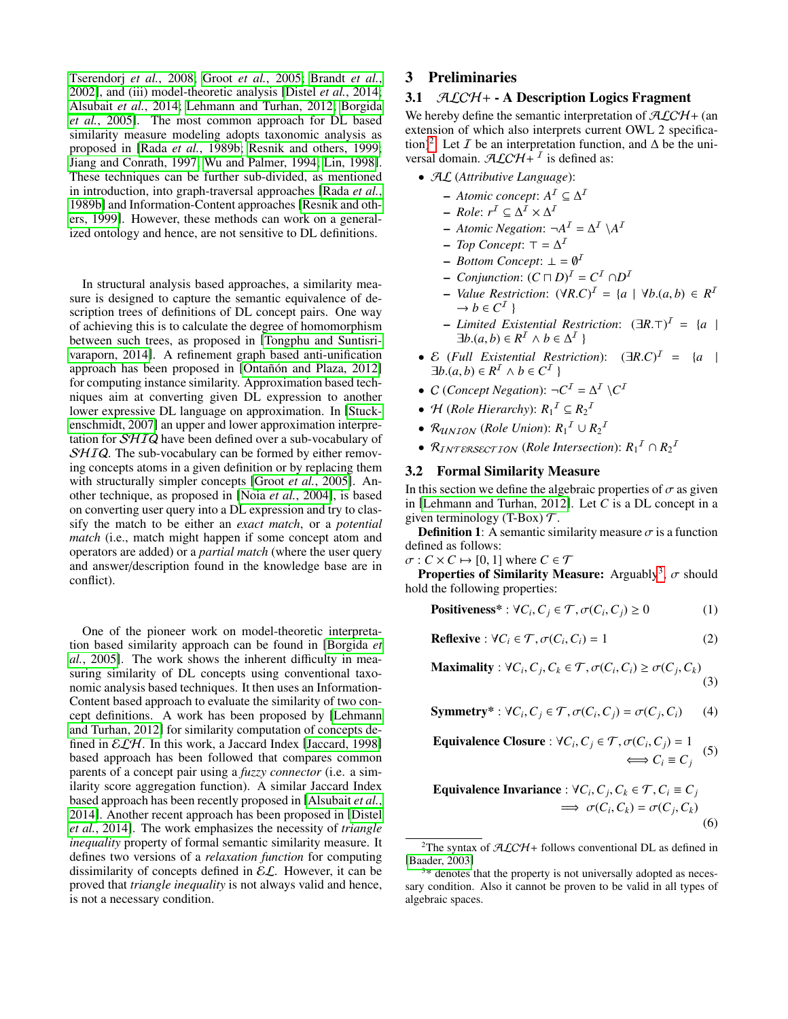[Tserendorj](#page-6-11) *et al.*, 2008; Groot *et al.*[, 2005;](#page-5-6) [Brandt](#page-5-7) *et al.*, [2002\]](#page-5-7), and (iii) model-theoretic analysis [\[Distel](#page-5-8) *et al.*, 2014; [Alsubait](#page-5-2) *et al.*, 2014; [Lehmann and Turhan, 2012;](#page-6-7) [Borgida](#page-5-4) *et al.*[, 2005\]](#page-5-4). The most common approach for DL based similarity measure modeling adopts taxonomic analysis as proposed in [Rada *et al.*[, 1989b;](#page-6-12) [Resnik and others, 1999;](#page-6-13) [Jiang and Conrath, 1997;](#page-5-9) [Wu and Palmer, 1994;](#page-6-14) [Lin, 1998\]](#page-6-15). These techniques can be further sub-divided, as mentioned in introduction, into graph-traversal approaches [\[Rada](#page-6-12) *et al.*, [1989b\]](#page-6-12) and Information-Content approaches [\[Resnik and oth](#page-6-13)[ers, 1999\]](#page-6-13). However, these methods can work on a generalized ontology and hence, are not sensitive to DL definitions.

In structural analysis based approaches, a similarity measure is designed to capture the semantic equivalence of description trees of definitions of DL concept pairs. One way of achieving this is to calculate the degree of homomorphism between such trees, as proposed in [\[Tongphu and Suntisri](#page-6-8)[varaporn, 2014\]](#page-6-8). A refinement graph based anti-unification approach has been proposed in [Ontañón and Plaza, 2012] for computing instance similarity. Approximation based techniques aim at converting given DL expression to another lower expressive DL language on approximation. In [\[Stuck](#page-6-3)[enschmidt, 2007\]](#page-6-3) an upper and lower approximation interpretation for  $\mathcal{SHIQ}$  have been defined over a sub-vocabulary of  $SHIQ$ . The sub-vocabulary can be formed by either removing concepts atoms in a given definition or by replacing them with structurally simpler concepts [Groot *et al.*[, 2005\]](#page-5-6). Another technique, as proposed in [Noia *et al.*[, 2004\]](#page-6-16), is based on converting user query into a DL expression and try to classify the match to be either an *exact match*, or a *potential match* (i.e., match might happen if some concept atom and operators are added) or a *partial match* (where the user query and answer/description found in the knowledge base are in conflict).

One of the pioneer work on model-theoretic interpretation based similarity approach can be found in [\[Borgida](#page-5-4) *et al.*[, 2005\]](#page-5-4). The work shows the inherent difficulty in measuring similarity of DL concepts using conventional taxonomic analysis based techniques. It then uses an Information-Content based approach to evaluate the similarity of two concept definitions. A work has been proposed by [\[Lehmann](#page-6-7) [and Turhan, 2012\]](#page-6-7) for similarity computation of concepts defined in  $\mathcal{ELH}$ . In this work, a Jaccard Index [\[Jaccard, 1998\]](#page-5-1) based approach has been followed that compares common parents of a concept pair using a *fuzzy connector* (i.e. a similarity score aggregation function). A similar Jaccard Index based approach has been recently proposed in [\[Alsubait](#page-5-2) *et al.*, [2014\]](#page-5-2). Another recent approach has been proposed in [\[Distel](#page-5-8) *et al.*[, 2014\]](#page-5-8). The work emphasizes the necessity of *triangle inequality* property of formal semantic similarity measure. It defines two versions of a *relaxation function* for computing dissimilarity of concepts defined in  $\mathcal{EL}$ . However, it can be proved that *triangle inequality* is not always valid and hence, is not a necessary condition.

# 3 Preliminaries

## 3.1  $\mathcal{ALCH}$  + - A Description Logics Fragment

We hereby define the semantic interpretation of  $ALCH+$  (an extension of which also interprets current OWL 2 specifica-tion)<sup>[2](#page-1-0)</sup>. Let *I* be an interpretation function, and  $\Delta$  be the universal domain.  $\mathcal{ALCH}$ <sup>I</sup> is defined as:

- AL (*Attributive Language*):
	- $-$  *Atomic concept*:  $A^I \subseteq \Delta^I$
	- $-$  *Role*:  $r^{\mathcal{I}} \subseteq \Delta^{\mathcal{I}} \times \Delta^{\mathcal{I}}$
	- $-$  *Atomic Negation*:  $\neg A^I = \Delta^I \setminus A^I$
	- $Top$  *Concept*:  $\top = \Delta^I$
	- $-$  *Bottom Concept*:  $\bot = \emptyset^{\mathcal{I}}$
	- $-$  *Conjunction*:  $(C \sqcap D)^{I} = C^{I} \cap D^{I}$
	- $-$  *Value Restriction*:  $(\forall R.C)^{T} = \{a \mid \forall b.(a, b) \in R^{T}\}\rightarrow b \in C^{T}$  $\rightarrow b \in C^{\mathcal{I}}$
	- *Limited Existential Restriction*:  $(\exists R.\top)^{T} = \{a \mid \exists b \ (a \ b) \in R^{T} \land b \in \Lambda^{T}\}\$  $\exists b \cdot (a, b) \in R^{\mathcal{I}} \wedge b \in \Delta^{\mathcal{I}}$
- $E$  (*Full Existential Restriction*):  $(\exists R.C)^{T} = \{a \mid \exists b (a, b) \in R^{T} \land b \in C^{T}\}\$  $\exists b.(a, b) \in R^I \land b \in C^I$
- *C* (*Concept Negation*):  $\neg C^I = \Delta^I \setminus C^I$
- *H* (*Role Hierarchy*):  $R_1^I \subseteq R_2^I$
- $\mathcal{R}_{UNION}$  (Role Union):  $R_1^I \cup R_2^I$
- $\mathcal{R}_{INTERSECTION}$  (*Role Intersection*):  $R_1^I \cap R_2^I$

#### 3.2 Formal Similarity Measure

In this section we define the algebraic properties of  $\sigma$  as given in [\[Lehmann and Turhan, 2012\]](#page-6-7). Let *C* is a DL concept in a given terminology (T-Box)  $\mathcal{T}$ .

**Definition 1:** A semantic similarity measure  $\sigma$  is a function defined as follows:

 $\sigma: C \times C \mapsto [0, 1]$  where  $C \in \mathcal{T}$ 

**Properties of Similarity Measure:** Arguably<sup>[3](#page-1-1)</sup>,  $\sigma$  should ld the following properties: hold the following properties:

**Positiveness\***:  $\forall C_i, C_j \in \mathcal{T}, \sigma(C_i, C_j) \ge 0$  (1)

$$
Reflexive : \forall C_i \in \mathcal{T}, \sigma(C_i, C_i) = 1 \tag{2}
$$

 $\text{Maximality}: \forall C_i, C_j, C_k \in \mathcal{T}, \sigma(C_i, C_i) \geq \sigma(C_j, C_k)$ (3)

**Symmetry**<sup>\*</sup>:  $\forall C_i, C_j \in \mathcal{T}, \sigma(C_i, C_j) = \sigma(C_j, C_i)$  (4)

**Equivalence Closure**: 
$$
\forall C_i, C_j \in \mathcal{T}, \sigma(C_i, C_j) = 1
$$
  
 $\iff C_i \equiv C_j$  (5)

Equivalence Invariance :  $\forall C_i, C_j, C_k \in \mathcal{T}, C_i \equiv C_j$  $\implies \sigma(C_i, C_k) = \sigma(C_j, C_k)$ (6)

<span id="page-1-0"></span><sup>&</sup>lt;sup>2</sup>The syntax of  $ALCH+$  follows conventional DL as defined in [\[Baader, 2003\]](#page-5-10)

<span id="page-1-1"></span><sup>&</sup>lt;sup>3\*</sup> denotes that the property is not universally adopted as necessary condition. Also it cannot be proven to be valid in all types of algebraic spaces.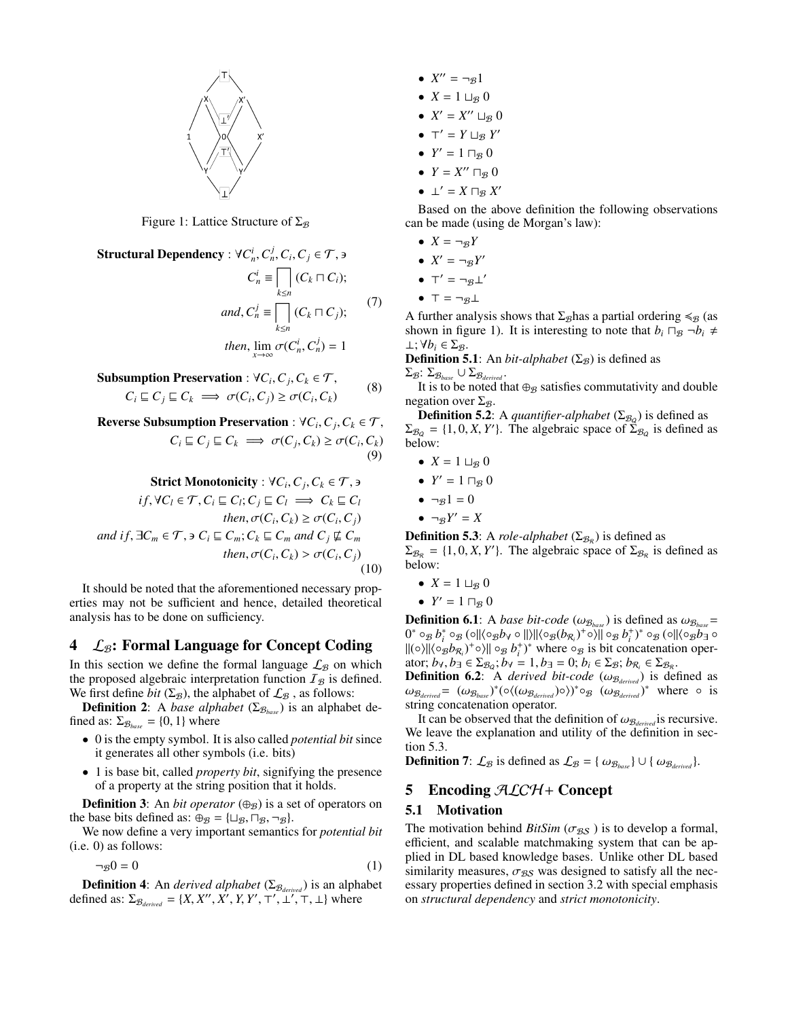

Figure 1: Lattice Structure of  $\Sigma_{\mathcal{B}}$ 

Structural Dependency :  $\forall C_n^i, C_n^j, C_i, C_j \in \mathcal{T}$ ,  $\exists$  $C_n^i$   $\equiv \Box$ *k*≤*n*  $(C_k \sqcap C_i);$ 

and, 
$$
C_n^j \equiv \prod_{k \le n} (C_k \sqcap C_j);
$$
  
then,  $\lim_{x \to \infty} \sigma(C_n^i, C_n^j) = 1$ 

Subsumption Preservation :  $\forall C_i, C_j, C_k \in \mathcal{T}$ ,<br> $C \subseteq C \subseteq C$ ,  $\exists C \in \mathcal{C}$ ,  $\exists C \in \mathcal{C}$ ,  $\exists C \in \mathcal{C}$ ,  $\exists C \in \mathcal{C}$ ,  $\exists C \in \mathcal{C}$ ,  $\exists C \in \mathcal{C}$ ,  $\exists C \in \mathcal{C}$ ,  $\exists C \in \mathcal{C}$ ,  $\exists C \in \mathcal{C}$ ,  $\exists C \in \mathcal{C}$ ,  $\exists C \in \mathcal{C}$  $C_i \sqsubseteq C_j \sqsubseteq C_k \implies \sigma(C_i, C_j) \ge \sigma(C_i, C_k)$ 

Reverse Subsumption Preservation : ∀*C<sup>i</sup>* ,*Cj* ,*C<sup>k</sup>* ∈ T,  $C_i \sqsubseteq C_j \sqsubseteq C_k \implies \sigma(C_j, C_k) \geq \sigma(C_i, C_k)$ (9)

**Strict Monotonicity**: 
$$
\forall C_i, C_j, C_k \in \mathcal{T}, \exists
$$
  
\n $if, \forall C_l \in \mathcal{T}, C_i \sqsubseteq C_l; C_j \sqsubseteq C_l \implies C_k \sqsubseteq C_l$   
\nthen,  $\sigma(C_i, C_k) \geq \sigma(C_i, C_j)$   
\nand if,  $\exists C_m \in \mathcal{T}, \exists C_l \sqsubseteq C_m; C_k \sqsubseteq C_m$  and  $C_j \not\subseteq C_m$   
\nthen,  $\sigma(C_i, C_k) > \sigma(C_i, C_j)$  (10)

It should be noted that the aforementioned necessary properties may not be sufficient and hence, detailed theoretical analysis has to be done on sufficiency.

## $4\quad \mathcal{L}_{\mathcal{B}}$ : Formal Language for Concept Coding

In this section we define the formal language  $\mathcal{L}_B$  on which the proposed algebraic interpretation function  $I_B$  is defined. We first define *bit* ( $\Sigma$ <sub>*B*</sub>), the alphabet of  $\mathcal{L}_B$ , as follows:

**Definition 2:** A *base alphabet* ( $\Sigma_{\mathcal{B}_{base}}$ ) is an alphabet defined as:  $\Sigma_{\mathcal{B}_{base}} = \{0, 1\}$  where

- 0 is the empty symbol. It is also called *potential bit* since it generates all other symbols (i.e. bits)
- 1 is base bit, called *property bit*, signifying the presence of a property at the string position that it holds.

**Definition 3:** An *bit operator*  $(\oplus_{\mathcal{B}})$  is a set of operators on the base bits defined as:  $\oplus_{\mathcal{B}} = {\sqcup_{\mathcal{B}}}, \sqcap_{\mathcal{B}}, \neg_{\mathcal{B}}$ .

We now define a very important semantics for *potential bit* (i.e. 0) as follows:

$$
\neg \, g0 = 0 \tag{1}
$$

**Definition 4:** An *derived alphabet* ( $\Sigma_{\mathcal{B}_{\text{derived}}}$ ) is an alphabet defined as:  $\Sigma_{\mathcal{B}_{derived}} = \{X, X'', X', Y, Y', \top', \bot', \top, \bot\}$  where

- $X'' = \neg \mathcal{B}1$
- $X = 1 \sqcup_{\mathcal{B}} 0$
- $X' = X'' \sqcup_{\mathcal{B}} 0$
- $\top' = Y \sqcup_{\mathcal{B}} Y'$
- $Y' = 1 \sqcap_{\mathcal{B}} 0$
- $Y = X'' \sqcap_{\mathcal{B}} 0$
- $\perp' = X \sqcap_{\mathcal{B}} X'$

Based on the above definition the following observations can be made (using de Morgan's law):

- $X = \neg_B Y$
- $X' = \neg_B Y'$
- $T' = \neg \mathcal{B} \perp'$
- $T = \neg g \perp$

(7)

(8)

A further analysis shows that  $\Sigma_{\mathcal{B}}$  has a partial ordering  $\leq_{\mathcal{B}}$  (as shown in figure 1). It is interesting to note that  $b_i \Box_B \neg b_i \neq$  $⊥$ ;  $∀b$ <sup>*i*</sup> ∈ Σ<sub>β</sub>.

**Definition 5.1**: An *bit-alphabet* ( $\Sigma$ <sub>B</sub>) is defined as  $Σ$ *g*:  $Σ$ <sub>*Bbase*</sub> ∪  $Σ$ *β*<sub>*derived*</sub>

It is to be noted that  $\oplus_B$  satisfies commutativity and double negation over  $\Sigma_{\mathcal{B}}$ .

**Definition 5.2**: A *quantifier-alphabet* ( $\Sigma_{B_Q}$ ) is defined as  $\Sigma_{\mathcal{B}_Q} = \{1, 0, X, Y'\}$ . The algebraic space of  $\Sigma_{\mathcal{B}_Q}$  is defined as below. below:

- $X = 1 \sqcup_{\mathcal{B}} 0$
- $Y' = 1 \sqcap_{\mathcal{B}} 0$
- $\neg g1 = 0$
- $\bullet$   $\neg gY' = X$

**Definition 5.3**: A *role-alphabet* ( $\Sigma_{\mathcal{B}_R}$ ) is defined as  $\Sigma_{\mathcal{B}_{\mathcal{R}}} = \{1, 0, X, Y'\}$ . The algebraic space of  $\Sigma_{\mathcal{B}_{\mathcal{R}}}$  is defined as below below:

- $X = 1 \sqcup_{\mathcal{B}} 0$
- $Y' = 1 \sqcap_{\mathcal{B}} 0$

**Definition 6.1**: A *base bit-code* ( $\omega_{\mathcal{B}_{base}}$ ) is defined as  $\omega_{\mathcal{B}_{base}}$ =  $0^* \circ_{\mathcal{B}} b_i^* \circ_{\mathcal{B}} (\circ \| \langle \circ_{\mathcal{B}} b_\forall \circ \| \rangle \| \langle \circ_{\mathcal{B}} (b_{\mathcal{R}_i})^+ \circ \rangle \| \circ_{\mathcal{B}} b_i^+)^* \circ_{\mathcal{B}} (\circ \| \langle \circ_{\mathcal{B}} b_1^- \circ_{\mathcal{B}} b_i^- \rangle \| \circ_{\mathcal{B}} b_i^+ )$  $\|(\circ)\|(\circ_B b_{\mathcal{R}_i})^+ \circ\rangle \| \circ_B b_i^+ \}^*$  where  $\circ_B$  is bit concatenation operator;  $b_{\forall}$ ,  $b_{\exists} \in \Sigma_{\mathcal{B}_\alpha}$ ;  $b_{\forall} = 1$ ,  $b_{\exists} = 0$ ;  $b_i \in \Sigma_{\mathcal{B}}$ ;  $b_{\mathcal{R}_i} \in \Sigma_{\mathcal{B}_\mathcal{R}}$ .<br>**Definition 6.2** A derived bit-code (*(v)*e ) is determined

**Definition 6.2**: A *derived bit-code* ( $\omega_{\mathcal{B}_{derived}}$ ) is defined as  $\omega_{\mathcal{B}_{derived}} = (\omega_{\mathcal{B}_{base}})^*(\circ((\omega_{\mathcal{B}_{derived}})\circ))^* \circ_{\mathcal{B}} (\omega_{\mathcal{B}_{derived}})^*$  where  $\circ$  is string concatenation operator string concatenation operator.

It can be observed that the definition of  $\omega_{\mathcal{B}_{derived}}$  is recursive. We leave the explanation and utility of the definition in section  $5.3$ .

**Definition 7:**  $\mathcal{L}_{\mathcal{B}}$  is defined as  $\mathcal{L}_{\mathcal{B}} = {\omega_{\mathcal{B}_{base}}} \cup {\omega_{\mathcal{B}_{derived}}}.$ 

## 5 Encoding  $ALCH+$  Concept

### 5.1 Motivation

The motivation behind  $BitSim$  ( $\sigma_{BS}$ ) is to develop a formal, efficient, and scalable matchmaking system that can be applied in DL based knowledge bases. Unlike other DL based similarity measures,  $\sigma_{BS}$  was designed to satisfy all the necessary properties defined in section 3.2 with special emphasis on *structural dependency* and *strict monotonicity*.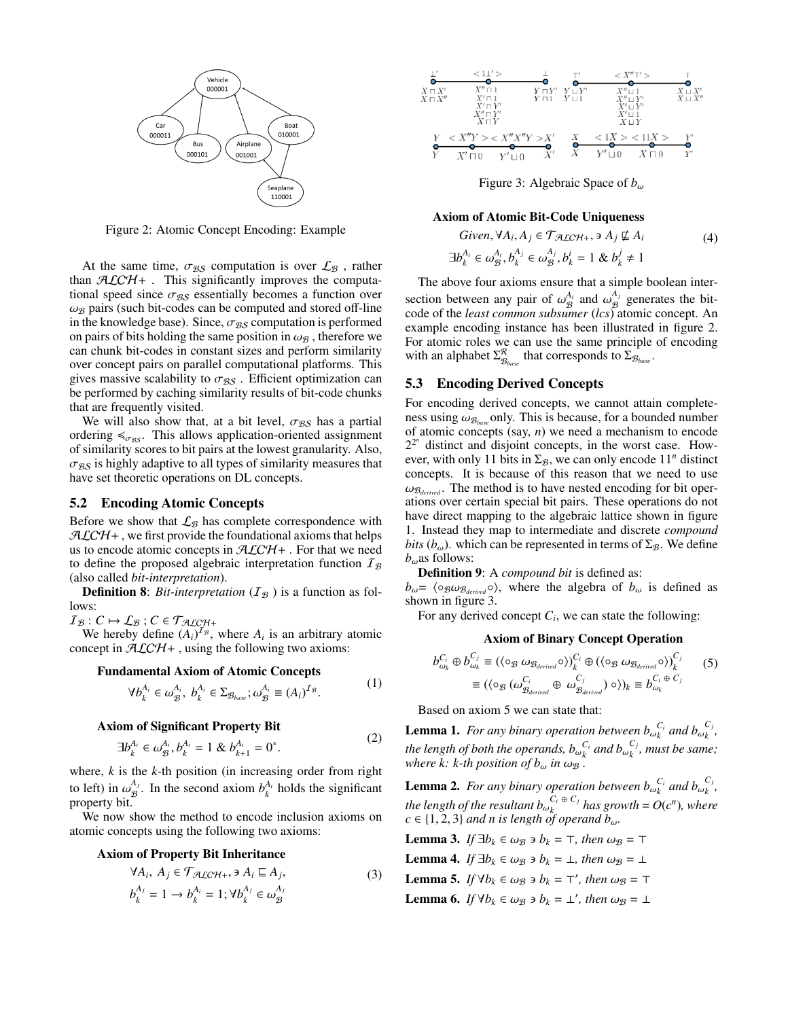

Figure 2: Atomic Concept Encoding: Example

At the same time,  $\sigma_{BS}$  computation is over  $\mathcal{L}_B$ , rather than  $ALCH+$ . This significantly improves the computational speed since  $\sigma_{BS}$  essentially becomes a function over  $\omega_B$  pairs (such bit-codes can be computed and stored off-line in the knowledge base). Since,  $\sigma_{BS}$  computation is performed on pairs of bits holding the same position in  $\omega_B$ , therefore we can chunk bit-codes in constant sizes and perform similarity over concept pairs on parallel computational platforms. This gives massive scalability to  $\sigma_{BS}$ . Efficient optimization can be performed by caching similarity results of bit-code chunks that are frequently visited.

We will also show that, at a bit level,  $\sigma_{BS}$  has a partial ordering  $\leq_{\sigma_{BS}}$ . This allows application-oriented assignment of similarity scores to bit pairs at the lowest granularity. Also,  $\sigma_{\mathcal{BS}}$  is highly adaptive to all types of similarity measures that have set theoretic operations on DL concepts.

#### 5.2 Encoding Atomic Concepts

Before we show that  $\mathcal{L}_{\mathcal{B}}$  has complete correspondence with  $ALCH+$ , we first provide the foundational axioms that helps us to encode atomic concepts in  $ALCH+$ . For that we need to define the proposed algebraic interpretation function  $I_{\mathcal{B}}$ (also called *bit-interpretation*).

**Definition 8:** *Bit-interpretation*  $(I<sub>B</sub>)$  is a function as follows:

 $I_{\mathcal{B}}: C \mapsto \mathcal{L}_{\mathcal{B}}$ ;  $C \in \mathcal{T}_{\mathcal{ALCH+}}$ 

We hereby define  $(A_i)^{T_B}$ , where  $A_i$  is an arbitrary atomic concept in  $ALCH+$ , using the following two axioms:

#### Fundamental Axiom of Atomic Concepts

$$
\forall b_k^{A_i} \in \omega_{\mathcal{B}}^{A_i}, \ b_k^{A_i} \in \Sigma_{\mathcal{B}_{base}}; \omega_{\mathcal{B}}^{A_i} \equiv (A_i)^{I_{\mathcal{B}}}.
$$
 (1)

#### Axiom of Significant Property Bit

$$
\exists b_k^{A_i} \in \omega_B^{A_i}, b_k^{A_i} = 1 \& b_{k+1}^{A_i} = 0^*.
$$
 (2)

where, *k* is the *k-*th position (in increasing order from right to left) in  $\omega_{\mathcal{B}}^{A_j}$ <br>property bit  $B_{\mathcal{B}}^{A_j}$ . In the second axiom  $b_k^{A_i}$  holds the significant property bit.

We now show the method to encode inclusion axioms on atomic concepts using the following two axioms:

#### Axiom of Property Bit Inheritance

$$
\forall A_i, A_j \in \mathcal{T}_{\mathcal{ALCH}+}, \exists A_i \sqsubseteq A_j, b_k^{A_j} = 1 \rightarrow b_k^{A_i} = 1; \forall b_k^{A_j} \in \omega_{\mathcal{B}}^{A_j}
$$
(3)



Figure 3: Algebraic Space of *<sup>b</sup>*ω

#### Axiom of Atomic Bit-Code Uniqueness

$$
Given, \forall A_i, A_j \in \mathcal{T}_{\mathcal{A}\mathcal{L}\mathcal{C}\mathcal{H}^+}, \exists A_j \not\subseteq A_i
$$
  

$$
\exists b_k^{A_i} \in \omega_{\mathcal{B}}^{A_j}, b_k^{A_j} \in \omega_{\mathcal{B}}^{A_j}, b_k^i = 1 \& b_k^j \neq 1
$$
 (4)

The above four axioms ensure that a simple boolean intersection between any pair of  $\omega_{\mathcal{B}}^{A_i}$  and  $\omega_{\mathcal{B}}^{A_j}$ <br>code of the *least common subsumer* (*lcs*) a  $\frac{\mu}{\beta}$  generates the bitcode of the *least common subsumer* (*lcs*) atomic concept. An example encoding instance has been illustrated in figure 2. For atomic roles we can use the same principle of encoding with an alphabet  $\Sigma^{\mathcal{R}}_{\mathcal{B}_{base}}$  that corresponds to  $\Sigma_{\mathcal{B}_{base}}$ .

#### 5.3 Encoding Derived Concepts

For encoding derived concepts, we cannot attain completeness using  $\omega_{\mathcal{B}_{base}}$  only. This is because, for a bounded number of atomic concepts (say, *n*) we need a mechanism to encode  $2^{2^n}$  distinct and disjoint concepts, in the worst case. However, with only 11 bits in  $\Sigma_{\mathcal{B}}$ , we can only encode 11<sup>n</sup> distinct concepts. It is because of this reason that we need to use  $\omega_{\mathcal{B}_{derived}}$ . The method is to have nested encoding for bit operations over certain special bit pairs. These operations do not have direct mapping to the algebraic lattice shown in figure 1. Instead they map to intermediate and discrete *compound bits* ( $b_{\omega}$ ). which can be represented in terms of  $\Sigma_{\mathcal{B}}$ . We define  $b_{\omega}$ as follows:

Definition 9: A *compound bit* is defined as:

 $b_{\omega}$ =  $\langle \circ_{\mathcal{B}} \omega_{\mathcal{B}_{derived}} \circ \rangle$ , where the algebra of  $b_{\omega}$  is defined as shown in figure 3.

For any derived concept  $C_i$ , we can state the following:

#### Axiom of Binary Concept Operation

$$
b_{\omega_k}^{C_i} \oplus b_{\omega_k}^{C_j} \equiv (\langle \circ_{\mathcal{B}} \omega_{\mathcal{B}_{derived}} \circ \rangle)^{C_i}_{k} \oplus (\langle \circ_{\mathcal{B}} \omega_{\mathcal{B}_{derived}} \circ \rangle)^{C_j}_{k}
$$
  

$$
\equiv (\langle \circ_{\mathcal{B}} (\omega_{\mathcal{B}_{derived}}^{C_i} \oplus \omega_{\mathcal{B}_{derived}}^{C_j}) \circ \rangle)_{k} \equiv b_{\omega_k}^{C_i \oplus C_j}
$$
(5)

Based on axiom 5 we can state that:

**Lemma 1.** *For any binary operation between*  $b_{\omega_k}^{C_i}$  *and*  $b_{\omega_k}^{C_j}$ *k , the length of both the operands,*  $b_{\omega_k}^{C_i}$  *and*  $b_{\omega_k}^{C_j}$ *<br>where ki k th position of b. in*  $(c_k)$ *k , must be same; where k: k-th position of*  $b_{\omega}$  *in*  $\omega_B$  *.* 

**Lemma 2.** *For any binary operation between*  $b_{\omega_k}^{C_i}$  *and*  $b_{\omega_k}^{C_j}$ *k , the length of the resultant*  $b_{\omega_k}^{C_i \oplus C_j}$ <br>*C*  $\in$  {1, 2, 3} and n is length of ones  $h_k$ <sup>*k*</sup><sup>*s*</sup> *has growth* =  $O(c^n)$ *, where*  $c \in \{1, 2, 3\}$  *and n is length of operand b<sub>ω</sub>.* 

**Lemma 3.** *If*  $\exists b_k \in \omega_B \ni b_k = \top$ , then  $\omega_B = \top$ 

**Lemma 4.** *If*  $\exists b_k \in \omega_B \ni b_k = \bot$ , then  $\omega_B = \bot$ 

Lemma 5. *If*  $\forall b_k \in \omega_B \ni b_k = \top'$ , then  $\omega_B = \top$ 

**Lemma 6.** *If*  $\forall b_k \in \omega_B \ni b_k = \bot'$ , then  $\omega_B = \bot$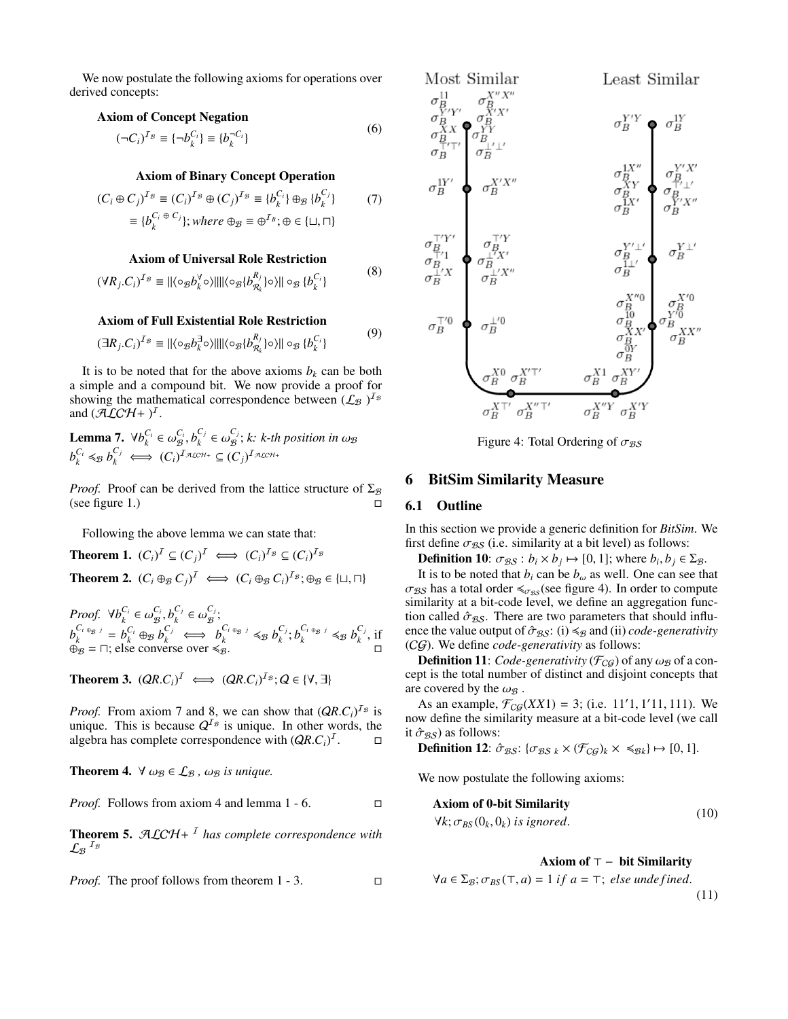We now postulate the following axioms for operations over derived concepts:

## Axiom of Concept Negation

$$
(\neg C_i)^{I_B} \equiv \{\neg b_k^{C_i}\} \equiv \{b_k^{-C_i}\}\tag{0}
$$

 $(6)$ 

## Axiom of Binary Concept Operation

$$
(C_i \oplus C_j)^{I_B} \equiv (C_i)^{I_B} \oplus (C_j)^{I_B} \equiv \{b_k^{C_i}\} \oplus_B \{b_k^{C_j}\}
$$
  

$$
\equiv \{b_k^{C_i \oplus C_j}\}; where \ \oplus_B \equiv \oplus^{I_B}; \oplus \in \{\sqcup, \sqcap\}
$$

## Axiom of Universal Role Restriction

$$
(\forall R_j.C_i)^{T_{\mathcal{B}}} \equiv ||\langle \circ_{\mathcal{B}} b_k^{\forall} \circ \rangle || || \langle \circ_{\mathcal{B}} \{ b_{R_k}^{R_j} \} \circ \rangle || \circ_{\mathcal{B}} \{ b_k^{C_i} \}
$$
(8)

#### Axiom of Full Existential Role Restriction

$$
(\exists R_j.C_i)^{T_{\mathcal{B}}} \equiv ||\langle \circ_{\mathcal{B}} b_k^{\exists} \circ \rangle || || \langle \circ_{\mathcal{B}} \{ b_{R_k}^{R_j} \} \circ \rangle || \circ_{\mathcal{B}} \{ b_k^{C_i} \}
$$
\n<sup>(9)</sup>

It is to be noted that for the above axioms  $b_k$  can be both a simple and a compound bit. We now provide a proof for showing the mathematical correspondence between  $(\mathcal{L}_\mathcal{B})^{I_\mathcal{B}}$ and  $(\tilde{ALCH} + )^I$ .

Lemma 7.  $\forall b_k^{C_i} \in \omega_B^{C_i}, b_k^{C_j}$  $c_j \in \omega_{\mathcal{B}}^{C_j}$ **Lemma 7.**  $\forall b_k^{C_i} \in \omega_B^{C_i}, b_k^{C_j} \in \omega_B^{C_j}; k: k\text{-th position in } \omega_B$ <br>  $b_k^{C_i} \leq B b_k^{C_j} \iff (C_i)^{I_{\mathcal{ALCH}^+}} \subseteq (C_j)^{I_{\mathcal{ALCH}^+}}$ 

*Proof.* Proof can be derived from the lattice structure of  $\Sigma$ <sub>B</sub> (see figure 1.)

Following the above lemma we can state that:

**Theorem 1.**  $(C_i)^{\mathcal{I}} \subseteq (C_j)^{\mathcal{I}} \iff (C_i)^{\mathcal{I}_{\mathcal{B}}} \subseteq (C_i)^{\mathcal{I}_{\mathcal{B}}}$ **Theorem 2.**  $(C_i \oplus_B C_j)^{\mathcal{I}} \iff (C_i \oplus_B C_i)^{\mathcal{I}_B}; \oplus_B \in \{\sqcup, \sqcap\}$ 

*Proof.*  $\forall b_k^{C_i} \in \omega_B^{C_i}, b_k^{C_j}$ <br>*C<sub>i</sub>* en *i C*<sub>*j*</sub> *C*<sub>*j*</sub> *C*<sub>*j*</sub>  $c_j \in \omega_{\mathcal{B}}^{C_j}$  $_{\mathcal{B}}^{\mathbf{\mathsf{c}}\,j}.$  $b_k^{C_i} \oplus_B j = b_k^{C_i} \oplus_B b_k^{C_j} \iff b_k^{C_i} \oplus_B b_k^{C_j}$  $c_j, b_k^{C_i + B_j} \leq B b_k^{C_j}$  $\int_k^{\mathbf{C}_j}$ , if  $\overset{\kappa}{\oplus}$  =  $\Box$ ; else converse over  $\leq \overset{\kappa}{\oplus}$ .

**Theorem 3.**  $(QR.C_i)^{\mathcal{I}} \iff (QR.C_i)^{\mathcal{I}_B}; Q \in \{\forall, \exists\}$ 

*Proof.* From axiom 7 and 8, we can show that  $(QR.C_i)^{T_g}$  is unique. This is because  $O^{T_g}$  is unique. In other words, the unique. This is because  $Q^{I_B}$  is unique. In other words, the algebra has complete correspondence with  $(QR.C_i)^T$  $\Box$ 

**Theorem 4.**  $\forall \omega_{\mathcal{B}} \in \mathcal{L}_{\mathcal{B}}$ ,  $\omega_{\mathcal{B}}$  *is unique.* 

*Proof.* Follows from axiom 4 and lemma 1 - 6. □

Theorem 5. ALCH+ <sup>I</sup> *has complete correspondence with*  $\mathcal{L_{B}}^{\ \ I_{\mathcal{B}}}$ 

*Proof.* The proof follows from theorem 1 - 3. □



Figure 4: Total Ordering of  $\sigma_{BS}$ 

# 6 BitSim Similarity Measure

### 6.1 Outline

In this section we provide a generic definition for *BitSim*. We first define  $\sigma_{\mathcal{BS}}$  (i.e. similarity at a bit level) as follows:

**Definition 10:**  $\sigma_{BS}$ :  $b_i \times b_j \mapsto [0, 1]$ ; where  $b_i, b_j \in \Sigma_B$ .<br>It is to be noted that *b*, can be *b*, as well. One can see the

It is to be noted that  $b_i$  can be  $b_\omega$  as well. One can see that  $\sigma_{BS}$  has a total order  $\leq_{\sigma_{BS}}$  (see figure 4). In order to compute similarity at a bit-code level, we define an aggregation function called  $\hat{\sigma}_{BS}$ . There are two parameters that should influence the value output of  $\hat{\sigma}_{BS}$ : (i)  $\leq_{\beta}$  and (ii) *code-generativity* (CG). We define *code-generativity* as follows:

**Definition 11:** *Code-generativity* ( $\mathcal{F}_{CG}$ ) of any  $\omega_B$  of a concept is the total number of distinct and disjoint concepts that are covered by the  $\omega_{\mathcal{B}}$  .

As an example,  $\mathcal{F}_{CG}(XX1) = 3$ ; (i.e. 11'1, 1'11, 111). We we define the similarity measure at a bit-code level (we call now define the similarity measure at a bit-code level (we call it  $\hat{\sigma}_{BS}$ ) as follows:<br>**Definition 12**:  $\hat{\sigma}$ 

**Definition 12**: 
$$
\hat{\sigma}_{\mathcal{BS}}
$$
: { $\sigma_{\mathcal{BS}}_k \times (\mathcal{F}_{\mathcal{CG}})_k \times \preccurlyeq_{\mathcal{B}_k}$ }  $\mapsto$  [0, 1].

We now postulate the following axioms:

**Axiom of 0-bit Similarity**  

$$
\forall k; \sigma_{BS}(0_k, 0_k) \text{ is ignored.}
$$
 (10)

#### Axiom of  $\top -$  bit Similarity

$$
\forall a \in \Sigma_{\mathcal{B}}; \sigma_{BS}(\top, a) = 1 \text{ if } a = \top; \text{ else undefined.}
$$
\n(11)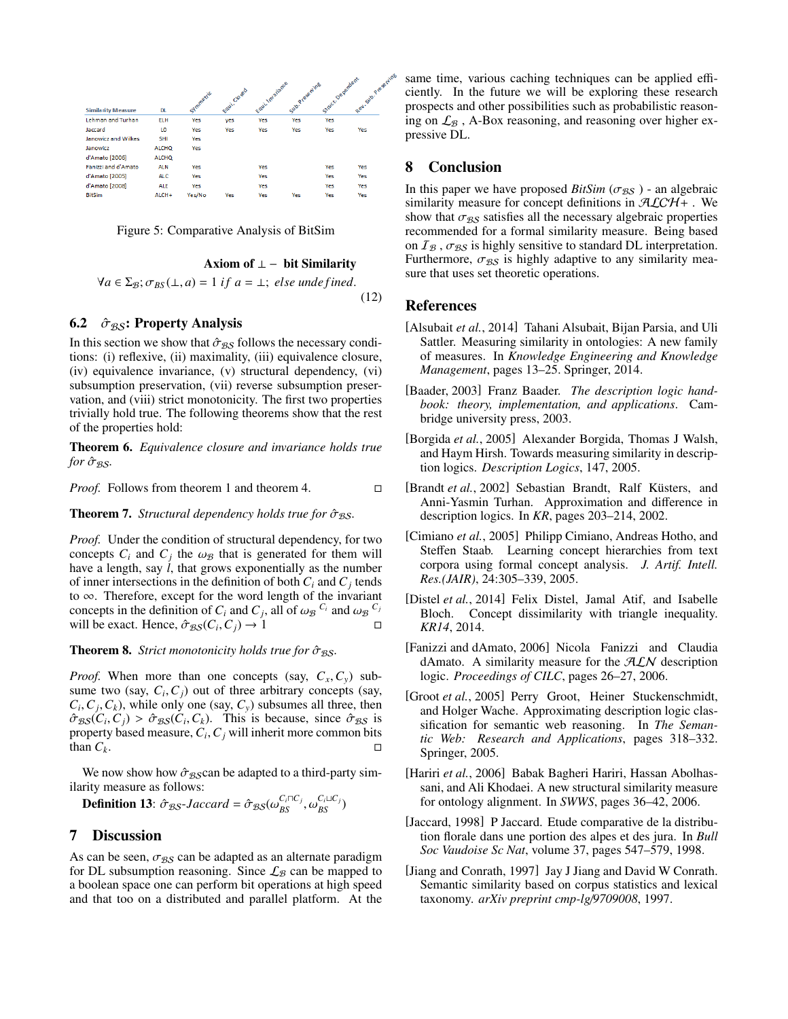



#### Axiom of  $\perp$  – bit Similarity

$$
\forall a \in \Sigma_{\mathcal{B}}; \sigma_{BS}(\bot, a) = 1 \text{ if } a = \bot; \text{ else undefined.}
$$
\n
$$
(12)
$$

### 6.2  $\hat{\sigma}_{BS}$ : Property Analysis

In this section we show that  $\hat{\sigma}_{BS}$  follows the necessary conditions: (i) reflexive, (ii) maximality, (iii) equivalence closure, (iv) equivalence invariance, (v) structural dependency, (vi) subsumption preservation, (vii) reverse subsumption preservation, and (viii) strict monotonicity. The first two properties trivially hold true. The following theorems show that the rest of the properties hold:

Theorem 6. *Equivalence closure and invariance holds true for* σ<sup>ˆ</sup> BS*.*

*Proof.* Follows from theorem 1 and theorem 4. □

**Theorem 7.** *Structural dependency holds true for*  $\hat{\sigma}_{BS}$ *.* 

*Proof.* Under the condition of structural dependency, for two concepts  $C_i$  and  $C_j$  the  $\omega_B$  that is generated for them will have a length say *l* that grows exponentially as the number have a length, say *l*, that grows exponentially as the number of inner intersections in the definition of both  $C_i$  and  $C_j$  tends to ∞. Therefore, except for the word length of the invariant concepts in the definition of  $C_i$  and  $C_j$ , all of  $\omega_B C_i$  and  $\omega_B C_j$ <br>will be exact. Hence  $\hat{\sigma}_{BS}(C_i, C_i) \rightarrow 1$ will be exact. Hence,  $\hat{\sigma}_{BS}(C_i, C_j) \rightarrow 1$ 

**Theorem 8.** *Strict monotonicity holds true for*  $\hat{\sigma}_{BS}$ *.* 

*Proof.* When more than one concepts (say,  $C_x, C_y$ ) subsume two (say,  $C_i$ ,  $C_j$ ) out of three arbitrary concepts (say,  $C_i$ ,  $C_j$ ) while only one (say,  $C_j$ ) subsumes all three then  $C_i$ ,  $C_j$ ,  $C_k$ ), while only one (say,  $C_y$ ) subsumes all three, then  $\hat{\sigma}_{\text{esc}}(C_i, C_i) > \hat{\sigma}_{\text{esc}}(C_i, C_k)$ . This is because, since  $\hat{\sigma}_{\text{esc}}$  is  $\hat{\sigma}_{BS}(C_i, C_j) > \hat{\sigma}_{BS}(C_i, C_k)$ . This is because, since  $\hat{\sigma}_{BS}$  is property based measure  $C_i$ ,  $C_i$  will inherit more common bits property based measure,  $C_i$ ,  $C_j$  will inherit more common bits<br>than  $C_k$ than  $C_k$ .

We now show how  $\hat{\sigma}_{BS}$ can be adapted to a third-party similarity measure as follows:

**Definition 13**:  $\hat{\sigma}_{BS}$ -Jaccard =  $\hat{\sigma}_{BS}(\omega_{BS}^{C_i \cap C_j})$  $BS \rightarrow \omega$  $\frac{C_i \sqcup C_j}{BS}$ 

## 7 Discussion

As can be seen,  $\sigma_{BS}$  can be adapted as an alternate paradigm for DL subsumption reasoning. Since  $\mathcal{L}_B$  can be mapped to a boolean space one can perform bit operations at high speed and that too on a distributed and parallel platform. At the same time, various caching techniques can be applied efficiently. In the future we will be exploring these research prospects and other possibilities such as probabilistic reasoning on  $\mathcal{L}_B$ , A-Box reasoning, and reasoning over higher expressive DL.

### 8 Conclusion

In this paper we have proposed *BitSim* ( $\sigma_{BS}$ ) - an algebraic similarity measure for concept definitions in  $ALCH+$ . We show that  $\sigma_{BS}$  satisfies all the necessary algebraic properties recommended for a formal similarity measure. Being based on  $I_B$ ,  $\sigma_{BS}$  is highly sensitive to standard DL interpretation. Furthermore,  $\sigma_{BS}$  is highly adaptive to any similarity measure that uses set theoretic operations.

### References

- <span id="page-5-2"></span>[Alsubait *et al.*, 2014] Tahani Alsubait, Bijan Parsia, and Uli Sattler. Measuring similarity in ontologies: A new family of measures. In *Knowledge Engineering and Knowledge Management*, pages 13–25. Springer, 2014.
- <span id="page-5-10"></span>[Baader, 2003] Franz Baader. *The description logic handbook: theory, implementation, and applications*. Cambridge university press, 2003.
- <span id="page-5-4"></span>[Borgida *et al.*, 2005] Alexander Borgida, Thomas J Walsh, and Haym Hirsh. Towards measuring similarity in description logics. *Description Logics*, 147, 2005.
- <span id="page-5-7"></span>[Brandt et al., 2002] Sebastian Brandt, Ralf Küsters, and Anni-Yasmin Turhan. Approximation and difference in description logics. In *KR*, pages 203–214, 2002.
- <span id="page-5-0"></span>[Cimiano *et al.*, 2005] Philipp Cimiano, Andreas Hotho, and Steffen Staab. Learning concept hierarchies from text corpora using formal concept analysis. *J. Artif. Intell. Res.(JAIR)*, 24:305–339, 2005.
- <span id="page-5-8"></span>[Distel *et al.*, 2014] Felix Distel, Jamal Atif, and Isabelle Bloch. Concept dissimilarity with triangle inequality. *KR14*, 2014.
- <span id="page-5-3"></span>[Fanizzi and dAmato, 2006] Nicola Fanizzi and Claudia dAmato. A similarity measure for the  $ALN$  description logic. *Proceedings of CILC*, pages 26–27, 2006.
- <span id="page-5-6"></span>[Groot *et al.*, 2005] Perry Groot, Heiner Stuckenschmidt, and Holger Wache. Approximating description logic classification for semantic web reasoning. In *The Semantic Web: Research and Applications*, pages 318–332. Springer, 2005.
- <span id="page-5-5"></span>[Hariri *et al.*, 2006] Babak Bagheri Hariri, Hassan Abolhassani, and Ali Khodaei. A new structural similarity measure for ontology alignment. In *SWWS*, pages 36–42, 2006.
- <span id="page-5-1"></span>[Jaccard, 1998] P Jaccard. Etude comparative de la distribution florale dans une portion des alpes et des jura. In *Bull Soc Vaudoise Sc Nat*, volume 37, pages 547–579, 1998.
- <span id="page-5-9"></span>[Jiang and Conrath, 1997] Jay J Jiang and David W Conrath. Semantic similarity based on corpus statistics and lexical taxonomy. *arXiv preprint cmp-lg*/*9709008*, 1997.